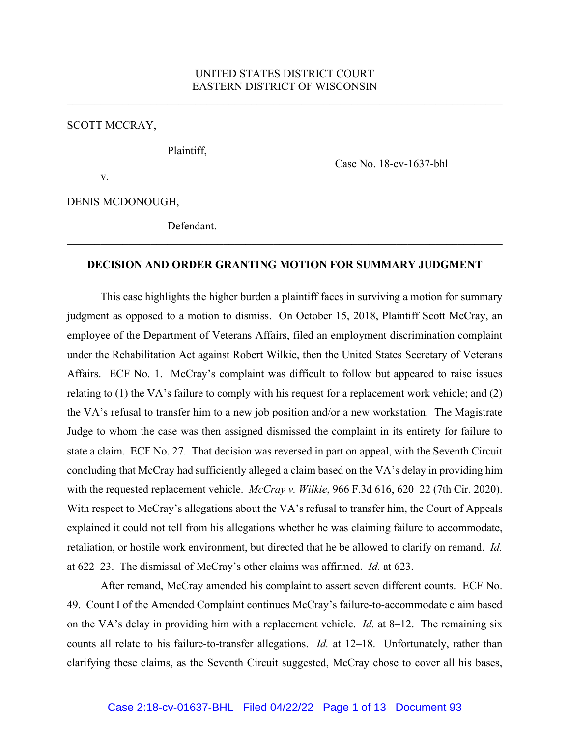SCOTT MCCRAY,

Plaintiff,

Case No. 18-cv-1637-bhl

v.

DENIS MCDONOUGH,

Defendant.

## **DECISION AND ORDER GRANTING MOTION FOR SUMMARY JUDGMENT** \_\_\_\_\_\_\_\_\_\_\_\_\_\_\_\_\_\_\_\_\_\_\_\_\_\_\_\_\_\_\_\_\_\_\_\_\_\_\_\_\_\_\_\_\_\_\_\_\_\_\_\_\_\_\_\_\_\_\_\_\_\_\_\_\_\_\_\_\_\_\_\_\_\_\_\_\_\_

This case highlights the higher burden a plaintiff faces in surviving a motion for summary judgment as opposed to a motion to dismiss. On October 15, 2018, Plaintiff Scott McCray, an employee of the Department of Veterans Affairs, filed an employment discrimination complaint under the Rehabilitation Act against Robert Wilkie, then the United States Secretary of Veterans Affairs. ECF No. 1. McCray's complaint was difficult to follow but appeared to raise issues relating to (1) the VA's failure to comply with his request for a replacement work vehicle; and (2) the VA's refusal to transfer him to a new job position and/or a new workstation. The Magistrate Judge to whom the case was then assigned dismissed the complaint in its entirety for failure to state a claim. ECF No. 27. That decision was reversed in part on appeal, with the Seventh Circuit concluding that McCray had sufficiently alleged a claim based on the VA's delay in providing him with the requested replacement vehicle. *McCray v. Wilkie*, 966 F.3d 616, 620–22 (7th Cir. 2020). With respect to McCray's allegations about the VA's refusal to transfer him, the Court of Appeals explained it could not tell from his allegations whether he was claiming failure to accommodate, retaliation, or hostile work environment, but directed that he be allowed to clarify on remand. *Id.* at 622–23. The dismissal of McCray's other claims was affirmed. *Id.* at 623.

After remand, McCray amended his complaint to assert seven different counts. ECF No. 49. Count I of the Amended Complaint continues McCray's failure-to-accommodate claim based on the VA's delay in providing him with a replacement vehicle. *Id.* at 8–12. The remaining six counts all relate to his failure-to-transfer allegations. *Id.* at 12–18. Unfortunately, rather than clarifying these claims, as the Seventh Circuit suggested, McCray chose to cover all his bases,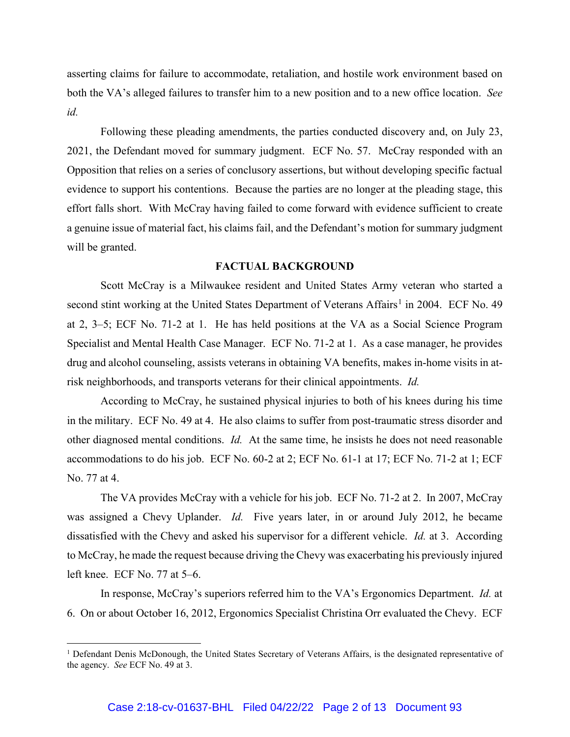asserting claims for failure to accommodate, retaliation, and hostile work environment based on both the VA's alleged failures to transfer him to a new position and to a new office location. *See id.*

Following these pleading amendments, the parties conducted discovery and, on July 23, 2021, the Defendant moved for summary judgment. ECF No. 57. McCray responded with an Opposition that relies on a series of conclusory assertions, but without developing specific factual evidence to support his contentions. Because the parties are no longer at the pleading stage, this effort falls short. With McCray having failed to come forward with evidence sufficient to create a genuine issue of material fact, his claims fail, and the Defendant's motion for summary judgment will be granted.

### **FACTUAL BACKGROUND**

Scott McCray is a Milwaukee resident and United States Army veteran who started a second stint working at the United States Department of Veterans Affairs<sup>[1](#page-1-0)</sup> in 2004. ECF No. 49 at 2, 3–5; ECF No. 71-2 at 1. He has held positions at the VA as a Social Science Program Specialist and Mental Health Case Manager. ECF No. 71-2 at 1. As a case manager, he provides drug and alcohol counseling, assists veterans in obtaining VA benefits, makes in-home visits in atrisk neighborhoods, and transports veterans for their clinical appointments. *Id.*

According to McCray, he sustained physical injuries to both of his knees during his time in the military. ECF No. 49 at 4. He also claims to suffer from post-traumatic stress disorder and other diagnosed mental conditions. *Id.* At the same time, he insists he does not need reasonable accommodations to do his job. ECF No. 60-2 at 2; ECF No. 61-1 at 17; ECF No. 71-2 at 1; ECF No. 77 at 4.

The VA provides McCray with a vehicle for his job. ECF No. 71-2 at 2. In 2007, McCray was assigned a Chevy Uplander. *Id.* Five years later, in or around July 2012, he became dissatisfied with the Chevy and asked his supervisor for a different vehicle. *Id.* at 3. According to McCray, he made the request because driving the Chevy was exacerbating his previously injured left knee. ECF No. 77 at 5–6.

In response, McCray's superiors referred him to the VA's Ergonomics Department. *Id.* at 6. On or about October 16, 2012, Ergonomics Specialist Christina Orr evaluated the Chevy. ECF

<span id="page-1-0"></span><sup>&</sup>lt;sup>1</sup> Defendant Denis McDonough, the United States Secretary of Veterans Affairs, is the designated representative of the agency. *See* ECF No. 49 at 3.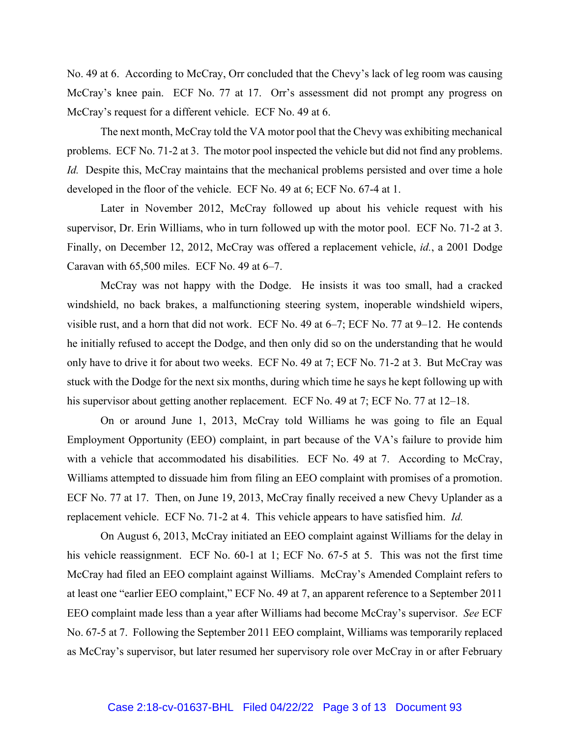No. 49 at 6. According to McCray, Orr concluded that the Chevy's lack of leg room was causing McCray's knee pain. ECF No. 77 at 17. Orr's assessment did not prompt any progress on McCray's request for a different vehicle. ECF No. 49 at 6.

The next month, McCray told the VA motor pool that the Chevy was exhibiting mechanical problems. ECF No. 71-2 at 3. The motor pool inspected the vehicle but did not find any problems. *Id.* Despite this, McCray maintains that the mechanical problems persisted and over time a hole developed in the floor of the vehicle. ECF No. 49 at 6; ECF No. 67-4 at 1.

Later in November 2012, McCray followed up about his vehicle request with his supervisor, Dr. Erin Williams, who in turn followed up with the motor pool. ECF No. 71-2 at 3. Finally, on December 12, 2012, McCray was offered a replacement vehicle, *id.*, a 2001 Dodge Caravan with 65,500 miles. ECF No. 49 at 6–7.

McCray was not happy with the Dodge. He insists it was too small, had a cracked windshield, no back brakes, a malfunctioning steering system, inoperable windshield wipers, visible rust, and a horn that did not work. ECF No. 49 at 6–7; ECF No. 77 at 9–12. He contends he initially refused to accept the Dodge, and then only did so on the understanding that he would only have to drive it for about two weeks. ECF No. 49 at 7; ECF No. 71-2 at 3. But McCray was stuck with the Dodge for the next six months, during which time he says he kept following up with his supervisor about getting another replacement. ECF No. 49 at 7; ECF No. 77 at 12–18.

On or around June 1, 2013, McCray told Williams he was going to file an Equal Employment Opportunity (EEO) complaint, in part because of the VA's failure to provide him with a vehicle that accommodated his disabilities. ECF No. 49 at 7. According to McCray, Williams attempted to dissuade him from filing an EEO complaint with promises of a promotion. ECF No. 77 at 17. Then, on June 19, 2013, McCray finally received a new Chevy Uplander as a replacement vehicle. ECF No. 71-2 at 4. This vehicle appears to have satisfied him. *Id.*

On August 6, 2013, McCray initiated an EEO complaint against Williams for the delay in his vehicle reassignment. ECF No. 60-1 at 1; ECF No. 67-5 at 5. This was not the first time McCray had filed an EEO complaint against Williams. McCray's Amended Complaint refers to at least one "earlier EEO complaint," ECF No. 49 at 7, an apparent reference to a September 2011 EEO complaint made less than a year after Williams had become McCray's supervisor. *See* ECF No. 67-5 at 7. Following the September 2011 EEO complaint, Williams was temporarily replaced as McCray's supervisor, but later resumed her supervisory role over McCray in or after February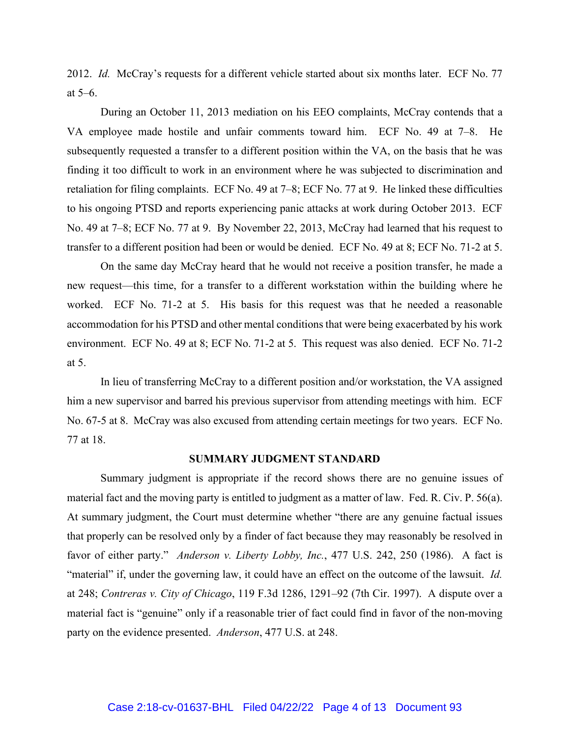2012. *Id.* McCray's requests for a different vehicle started about six months later. ECF No. 77 at 5–6.

During an October 11, 2013 mediation on his EEO complaints, McCray contends that a VA employee made hostile and unfair comments toward him. ECF No. 49 at 7–8. He subsequently requested a transfer to a different position within the VA, on the basis that he was finding it too difficult to work in an environment where he was subjected to discrimination and retaliation for filing complaints. ECF No. 49 at 7–8; ECF No. 77 at 9. He linked these difficulties to his ongoing PTSD and reports experiencing panic attacks at work during October 2013. ECF No. 49 at 7–8; ECF No. 77 at 9. By November 22, 2013, McCray had learned that his request to transfer to a different position had been or would be denied. ECF No. 49 at 8; ECF No. 71-2 at 5.

On the same day McCray heard that he would not receive a position transfer, he made a new request—this time, for a transfer to a different workstation within the building where he worked. ECF No. 71-2 at 5. His basis for this request was that he needed a reasonable accommodation for his PTSD and other mental conditions that were being exacerbated by his work environment. ECF No. 49 at 8; ECF No. 71-2 at 5. This request was also denied. ECF No. 71-2 at 5.

In lieu of transferring McCray to a different position and/or workstation, the VA assigned him a new supervisor and barred his previous supervisor from attending meetings with him. ECF No. 67-5 at 8. McCray was also excused from attending certain meetings for two years. ECF No. 77 at 18.

#### **SUMMARY JUDGMENT STANDARD**

Summary judgment is appropriate if the record shows there are no genuine issues of material fact and the moving party is entitled to judgment as a matter of law. Fed. R. Civ. P. 56(a). At summary judgment, the Court must determine whether "there are any genuine factual issues that properly can be resolved only by a finder of fact because they may reasonably be resolved in favor of either party." *Anderson v. Liberty Lobby, Inc.*, 477 U.S. 242, 250 (1986). A fact is "material" if, under the governing law, it could have an effect on the outcome of the lawsuit. *Id.* at 248; *Contreras v. City of Chicago*, 119 F.3d 1286, 1291–92 (7th Cir. 1997). A dispute over a material fact is "genuine" only if a reasonable trier of fact could find in favor of the non-moving party on the evidence presented. *Anderson*, 477 U.S. at 248.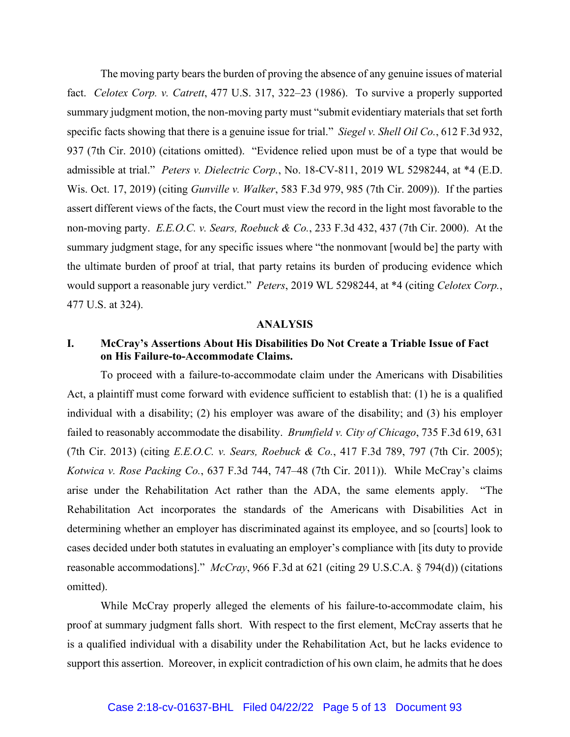The moving party bears the burden of proving the absence of any genuine issues of material fact. *Celotex Corp. v. Catrett*, 477 U.S. 317, 322–23 (1986). To survive a properly supported summary judgment motion, the non-moving party must "submit evidentiary materials that set forth specific facts showing that there is a genuine issue for trial." *Siegel v. Shell Oil Co.*, 612 F.3d 932, 937 (7th Cir. 2010) (citations omitted). "Evidence relied upon must be of a type that would be admissible at trial." *Peters v. Dielectric Corp.*, No. 18-CV-811, 2019 WL 5298244, at \*4 (E.D. Wis. Oct. 17, 2019) (citing *Gunville v. Walker*, 583 F.3d 979, 985 (7th Cir. 2009)). If the parties assert different views of the facts, the Court must view the record in the light most favorable to the non-moving party. *E.E.O.C. v. Sears, Roebuck & Co.*, 233 F.3d 432, 437 (7th Cir. 2000). At the summary judgment stage, for any specific issues where "the nonmovant [would be] the party with the ultimate burden of proof at trial, that party retains its burden of producing evidence which would support a reasonable jury verdict." *Peters*, 2019 WL 5298244, at \*4 (citing *Celotex Corp.*, 477 U.S. at 324).

### **ANALYSIS**

# **I. McCray's Assertions About His Disabilities Do Not Create a Triable Issue of Fact on His Failure-to-Accommodate Claims.**

To proceed with a failure-to-accommodate claim under the Americans with Disabilities Act, a plaintiff must come forward with evidence sufficient to establish that: (1) he is a qualified individual with a disability; (2) his employer was aware of the disability; and (3) his employer failed to reasonably accommodate the disability. *Brumfield v. City of Chicago*, 735 F.3d 619, 631 (7th Cir. 2013) (citing *E.E.O.C. v. Sears, Roebuck & Co.*, 417 F.3d 789, 797 (7th Cir. 2005); *Kotwica v. Rose Packing Co.*, 637 F.3d 744, 747–48 (7th Cir. 2011)). While McCray's claims arise under the Rehabilitation Act rather than the ADA, the same elements apply. "The Rehabilitation Act incorporates the standards of the Americans with Disabilities Act in determining whether an employer has discriminated against its employee, and so [courts] look to cases decided under both statutes in evaluating an employer's compliance with [its duty to provide reasonable accommodations]." *McCray*, 966 F.3d at 621 (citing 29 U.S.C.A. § 794(d)) (citations omitted).

While McCray properly alleged the elements of his failure-to-accommodate claim, his proof at summary judgment falls short. With respect to the first element, McCray asserts that he is a qualified individual with a disability under the Rehabilitation Act, but he lacks evidence to support this assertion. Moreover, in explicit contradiction of his own claim, he admits that he does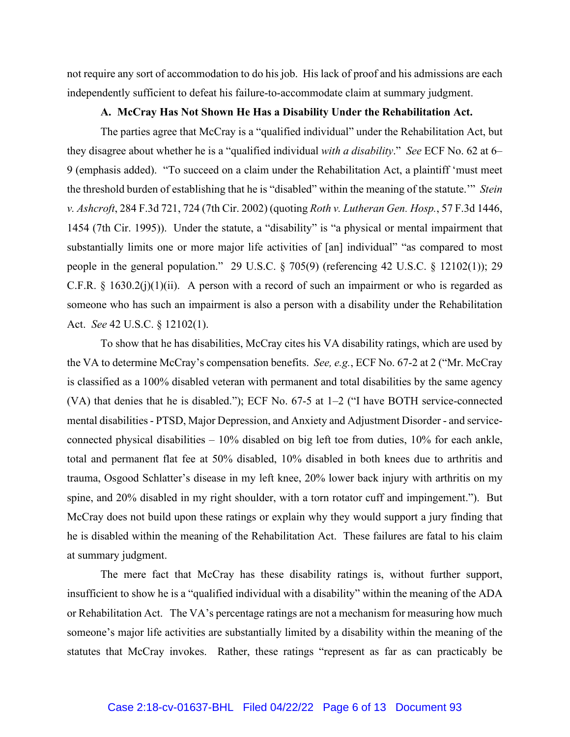not require any sort of accommodation to do his job. His lack of proof and his admissions are each independently sufficient to defeat his failure-to-accommodate claim at summary judgment.

### **A. McCray Has Not Shown He Has a Disability Under the Rehabilitation Act.**

The parties agree that McCray is a "qualified individual" under the Rehabilitation Act, but they disagree about whether he is a "qualified individual *with a disability*." *See* ECF No. 62 at 6– 9 (emphasis added). "To succeed on a claim under the Rehabilitation Act, a plaintiff 'must meet the threshold burden of establishing that he is "disabled" within the meaning of the statute.'" *Stein v. Ashcroft*, 284 F.3d 721, 724 (7th Cir. 2002) (quoting *Roth v. Lutheran Gen. Hosp.*, 57 F.3d 1446, 1454 (7th Cir. 1995)). Under the statute, a "disability" is "a physical or mental impairment that substantially limits one or more major life activities of [an] individual" "as compared to most people in the general population." 29 U.S.C. § 705(9) (referencing 42 U.S.C. § 12102(1)); 29 C.F.R. § 1630.2(j)(1)(ii). A person with a record of such an impairment or who is regarded as someone who has such an impairment is also a person with a disability under the Rehabilitation Act. *See* 42 U.S.C. § 12102(1).

To show that he has disabilities, McCray cites his VA disability ratings, which are used by the VA to determine McCray's compensation benefits. *See, e.g.*, ECF No. 67-2 at 2 ("Mr. McCray is classified as a 100% disabled veteran with permanent and total disabilities by the same agency (VA) that denies that he is disabled."); ECF No. 67-5 at 1–2 ("I have BOTH service-connected mental disabilities - PTSD, Major Depression, and Anxiety and Adjustment Disorder - and serviceconnected physical disabilities – 10% disabled on big left toe from duties, 10% for each ankle, total and permanent flat fee at 50% disabled, 10% disabled in both knees due to arthritis and trauma, Osgood Schlatter's disease in my left knee, 20% lower back injury with arthritis on my spine, and 20% disabled in my right shoulder, with a torn rotator cuff and impingement."). But McCray does not build upon these ratings or explain why they would support a jury finding that he is disabled within the meaning of the Rehabilitation Act. These failures are fatal to his claim at summary judgment.

The mere fact that McCray has these disability ratings is, without further support, insufficient to show he is a "qualified individual with a disability" within the meaning of the ADA or Rehabilitation Act. The VA's percentage ratings are not a mechanism for measuring how much someone's major life activities are substantially limited by a disability within the meaning of the statutes that McCray invokes. Rather, these ratings "represent as far as can practicably be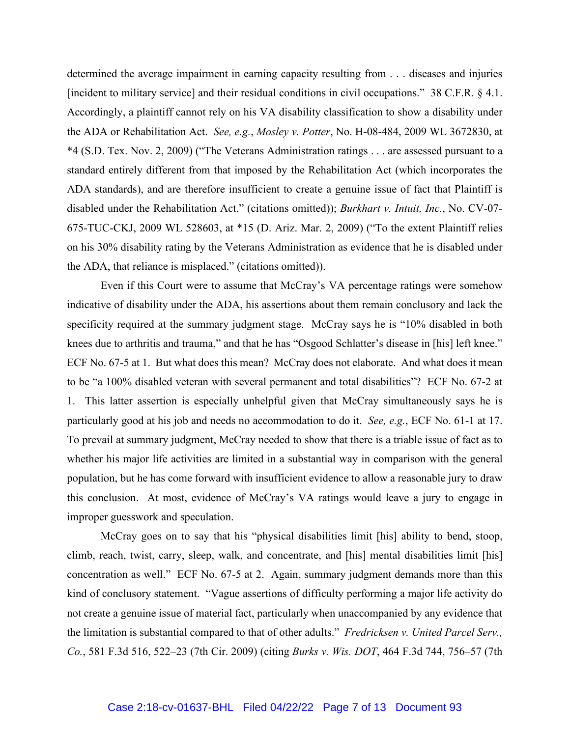determined the average impairment in earning capacity resulting from . . . diseases and injuries [incident to military service] and their residual conditions in civil occupations." 38 C.F.R. § 4.1. Accordingly, a plaintiff cannot rely on his VA disability classification to show a disability under the ADA or Rehabilitation Act. *See, e.g.*, *Mosley v. Potter*, No. H-08-484, 2009 WL 3672830, at \*4 (S.D. Tex. Nov. 2, 2009) ("The Veterans Administration ratings . . . are assessed pursuant to a standard entirely different from that imposed by the Rehabilitation Act (which incorporates the ADA standards), and are therefore insufficient to create a genuine issue of fact that Plaintiff is disabled under the Rehabilitation Act." (citations omitted)); *Burkhart v. Intuit, Inc.*, No. CV-07- 675-TUC-CKJ, 2009 WL 528603, at \*15 (D. Ariz. Mar. 2, 2009) ("To the extent Plaintiff relies on his 30% disability rating by the Veterans Administration as evidence that he is disabled under the ADA, that reliance is misplaced." (citations omitted)).

Even if this Court were to assume that McCray's VA percentage ratings were somehow indicative of disability under the ADA, his assertions about them remain conclusory and lack the specificity required at the summary judgment stage. McCray says he is "10% disabled in both knees due to arthritis and trauma," and that he has "Osgood Schlatter's disease in [his] left knee." ECF No. 67-5 at 1. But what does this mean? McCray does not elaborate. And what does it mean to be "a 100% disabled veteran with several permanent and total disabilities"? ECF No. 67-2 at 1. This latter assertion is especially unhelpful given that McCray simultaneously says he is particularly good at his job and needs no accommodation to do it. *See, e.g.*, ECF No. 61-1 at 17. To prevail at summary judgment, McCray needed to show that there is a triable issue of fact as to whether his major life activities are limited in a substantial way in comparison with the general population, but he has come forward with insufficient evidence to allow a reasonable jury to draw this conclusion. At most, evidence of McCray's VA ratings would leave a jury to engage in improper guesswork and speculation.

McCray goes on to say that his "physical disabilities limit [his] ability to bend, stoop, climb, reach, twist, carry, sleep, walk, and concentrate, and [his] mental disabilities limit [his] concentration as well." ECF No. 67-5 at 2. Again, summary judgment demands more than this kind of conclusory statement. "Vague assertions of difficulty performing a major life activity do not create a genuine issue of material fact, particularly when unaccompanied by any evidence that the limitation is substantial compared to that of other adults." *Fredricksen v. United Parcel Serv., Co.*, 581 F.3d 516, 522–23 (7th Cir. 2009) (citing *Burks v. Wis. DOT*, 464 F.3d 744, 756–57 (7th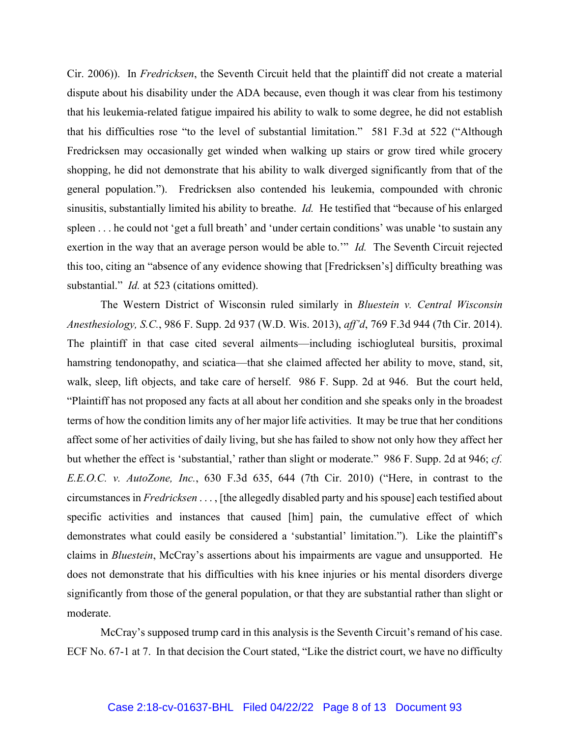Cir. 2006)). In *Fredricksen*, the Seventh Circuit held that the plaintiff did not create a material dispute about his disability under the ADA because, even though it was clear from his testimony that his leukemia-related fatigue impaired his ability to walk to some degree, he did not establish that his difficulties rose "to the level of substantial limitation." 581 F.3d at 522 ("Although Fredricksen may occasionally get winded when walking up stairs or grow tired while grocery shopping, he did not demonstrate that his ability to walk diverged significantly from that of the general population."). Fredricksen also contended his leukemia, compounded with chronic sinusitis, substantially limited his ability to breathe. *Id.* He testified that "because of his enlarged spleen . . . he could not 'get a full breath' and 'under certain conditions' was unable 'to sustain any exertion in the way that an average person would be able to.'" *Id.* The Seventh Circuit rejected this too, citing an "absence of any evidence showing that [Fredricksen's] difficulty breathing was substantial." *Id.* at 523 (citations omitted).

The Western District of Wisconsin ruled similarly in *Bluestein v. Central Wisconsin Anesthesiology, S.C.*, 986 F. Supp. 2d 937 (W.D. Wis. 2013), *aff'd*, 769 F.3d 944 (7th Cir. 2014). The plaintiff in that case cited several ailments—including ischiogluteal bursitis, proximal hamstring tendonopathy, and sciatica—that she claimed affected her ability to move, stand, sit, walk, sleep, lift objects, and take care of herself. 986 F. Supp. 2d at 946. But the court held, "Plaintiff has not proposed any facts at all about her condition and she speaks only in the broadest terms of how the condition limits any of her major life activities. It may be true that her conditions affect some of her activities of daily living, but she has failed to show not only how they affect her but whether the effect is 'substantial,' rather than slight or moderate." 986 F. Supp. 2d at 946; *cf. E.E.O.C. v. AutoZone, Inc.*, 630 F.3d 635, 644 (7th Cir. 2010) ("Here, in contrast to the circumstances in *Fredricksen* . . . , [the allegedly disabled party and his spouse] each testified about specific activities and instances that caused [him] pain, the cumulative effect of which demonstrates what could easily be considered a 'substantial' limitation."). Like the plaintiff's claims in *Bluestein*, McCray's assertions about his impairments are vague and unsupported. He does not demonstrate that his difficulties with his knee injuries or his mental disorders diverge significantly from those of the general population, or that they are substantial rather than slight or moderate.

McCray's supposed trump card in this analysis is the Seventh Circuit's remand of his case. ECF No. 67-1 at 7. In that decision the Court stated, "Like the district court, we have no difficulty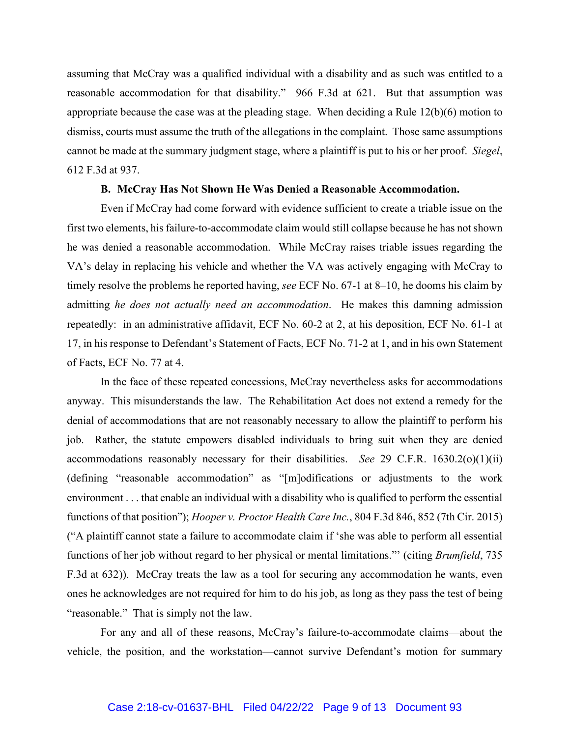assuming that McCray was a qualified individual with a disability and as such was entitled to a reasonable accommodation for that disability." 966 F.3d at 621. But that assumption was appropriate because the case was at the pleading stage. When deciding a Rule 12(b)(6) motion to dismiss, courts must assume the truth of the allegations in the complaint. Those same assumptions cannot be made at the summary judgment stage, where a plaintiff is put to his or her proof. *Siegel*, 612 F.3d at 937.

### **B. McCray Has Not Shown He Was Denied a Reasonable Accommodation.**

Even if McCray had come forward with evidence sufficient to create a triable issue on the first two elements, his failure-to-accommodate claim would still collapse because he has not shown he was denied a reasonable accommodation. While McCray raises triable issues regarding the VA's delay in replacing his vehicle and whether the VA was actively engaging with McCray to timely resolve the problems he reported having, *see* ECF No. 67-1 at 8–10, he dooms his claim by admitting *he does not actually need an accommodation*. He makes this damning admission repeatedly: in an administrative affidavit, ECF No. 60-2 at 2, at his deposition, ECF No. 61-1 at 17, in his response to Defendant's Statement of Facts, ECF No. 71-2 at 1, and in his own Statement of Facts, ECF No. 77 at 4.

In the face of these repeated concessions, McCray nevertheless asks for accommodations anyway. This misunderstands the law. The Rehabilitation Act does not extend a remedy for the denial of accommodations that are not reasonably necessary to allow the plaintiff to perform his job. Rather, the statute empowers disabled individuals to bring suit when they are denied accommodations reasonably necessary for their disabilities. *See* 29 C.F.R. 1630.2(o)(1)(ii) (defining "reasonable accommodation" as "[m]odifications or adjustments to the work environment . . . that enable an individual with a disability who is qualified to perform the essential functions of that position"); *Hooper v. Proctor Health Care Inc.*, 804 F.3d 846, 852 (7th Cir. 2015) ("A plaintiff cannot state a failure to accommodate claim if 'she was able to perform all essential functions of her job without regard to her physical or mental limitations."' (citing *Brumfield*, 735 F.3d at 632)). McCray treats the law as a tool for securing any accommodation he wants, even ones he acknowledges are not required for him to do his job, as long as they pass the test of being "reasonable." That is simply not the law.

For any and all of these reasons, McCray's failure-to-accommodate claims—about the vehicle, the position, and the workstation—cannot survive Defendant's motion for summary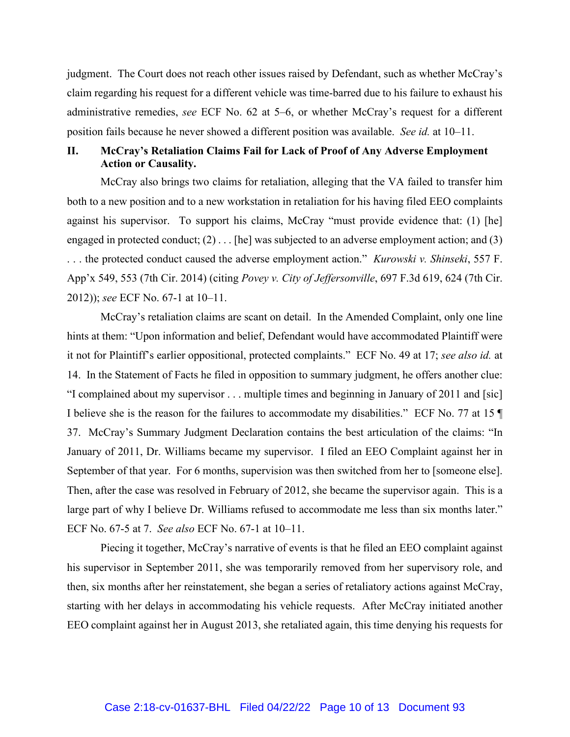judgment. The Court does not reach other issues raised by Defendant, such as whether McCray's claim regarding his request for a different vehicle was time-barred due to his failure to exhaust his administrative remedies, *see* ECF No. 62 at 5–6, or whether McCray's request for a different position fails because he never showed a different position was available. *See id.* at 10–11.

# **II. McCray's Retaliation Claims Fail for Lack of Proof of Any Adverse Employment Action or Causality.**

McCray also brings two claims for retaliation, alleging that the VA failed to transfer him both to a new position and to a new workstation in retaliation for his having filed EEO complaints against his supervisor. To support his claims, McCray "must provide evidence that: (1) [he] engaged in protected conduct; (2) . . . [he] was subjected to an adverse employment action; and (3) . . . the protected conduct caused the adverse employment action." *Kurowski v. Shinseki*, 557 F. App'x 549, 553 (7th Cir. 2014) (citing *Povey v. City of Jeffersonville*, 697 F.3d 619, 624 (7th Cir. 2012)); *see* ECF No. 67-1 at 10–11.

McCray's retaliation claims are scant on detail. In the Amended Complaint, only one line hints at them: "Upon information and belief, Defendant would have accommodated Plaintiff were it not for Plaintiff's earlier oppositional, protected complaints." ECF No. 49 at 17; *see also id.* at 14. In the Statement of Facts he filed in opposition to summary judgment, he offers another clue: "I complained about my supervisor . . . multiple times and beginning in January of 2011 and [sic] I believe she is the reason for the failures to accommodate my disabilities." ECF No. 77 at 15 ¶ 37. McCray's Summary Judgment Declaration contains the best articulation of the claims: "In January of 2011, Dr. Williams became my supervisor. I filed an EEO Complaint against her in September of that year. For 6 months, supervision was then switched from her to [someone else]. Then, after the case was resolved in February of 2012, she became the supervisor again. This is a large part of why I believe Dr. Williams refused to accommodate me less than six months later." ECF No. 67-5 at 7. *See also* ECF No. 67-1 at 10–11.

Piecing it together, McCray's narrative of events is that he filed an EEO complaint against his supervisor in September 2011, she was temporarily removed from her supervisory role, and then, six months after her reinstatement, she began a series of retaliatory actions against McCray, starting with her delays in accommodating his vehicle requests. After McCray initiated another EEO complaint against her in August 2013, she retaliated again, this time denying his requests for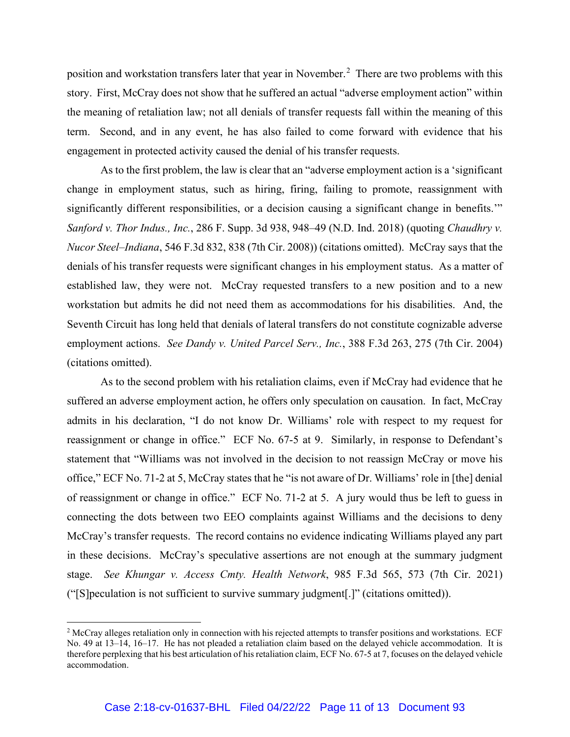position and workstation transfers later that year in November.[2](#page-10-0) There are two problems with this story. First, McCray does not show that he suffered an actual "adverse employment action" within the meaning of retaliation law; not all denials of transfer requests fall within the meaning of this term. Second, and in any event, he has also failed to come forward with evidence that his engagement in protected activity caused the denial of his transfer requests.

As to the first problem, the law is clear that an "adverse employment action is a 'significant change in employment status, such as hiring, firing, failing to promote, reassignment with significantly different responsibilities, or a decision causing a significant change in benefits." *Sanford v. Thor Indus., Inc.*, 286 F. Supp. 3d 938, 948–49 (N.D. Ind. 2018) (quoting *Chaudhry v. Nucor Steel–Indiana*, 546 F.3d 832, 838 (7th Cir. 2008)) (citations omitted). McCray says that the denials of his transfer requests were significant changes in his employment status. As a matter of established law, they were not. McCray requested transfers to a new position and to a new workstation but admits he did not need them as accommodations for his disabilities. And, the Seventh Circuit has long held that denials of lateral transfers do not constitute cognizable adverse employment actions. *See Dandy v. United Parcel Serv., Inc.*, 388 F.3d 263, 275 (7th Cir. 2004) (citations omitted).

As to the second problem with his retaliation claims, even if McCray had evidence that he suffered an adverse employment action, he offers only speculation on causation. In fact, McCray admits in his declaration, "I do not know Dr. Williams' role with respect to my request for reassignment or change in office." ECF No. 67-5 at 9. Similarly, in response to Defendant's statement that "Williams was not involved in the decision to not reassign McCray or move his office," ECF No. 71-2 at 5, McCray states that he "is not aware of Dr. Williams' role in [the] denial of reassignment or change in office." ECF No. 71-2 at 5. A jury would thus be left to guess in connecting the dots between two EEO complaints against Williams and the decisions to deny McCray's transfer requests. The record contains no evidence indicating Williams played any part in these decisions. McCray's speculative assertions are not enough at the summary judgment stage. *See Khungar v. Access Cmty. Health Network*, 985 F.3d 565, 573 (7th Cir. 2021) ("[S]peculation is not sufficient to survive summary judgment[.]" (citations omitted)).

<span id="page-10-0"></span><sup>&</sup>lt;sup>2</sup> McCray alleges retaliation only in connection with his rejected attempts to transfer positions and workstations. ECF No. 49 at 13–14, 16–17. He has not pleaded a retaliation claim based on the delayed vehicle accommodation. It is therefore perplexing that his best articulation of his retaliation claim, ECF No. 67-5 at 7, focuses on the delayed vehicle accommodation.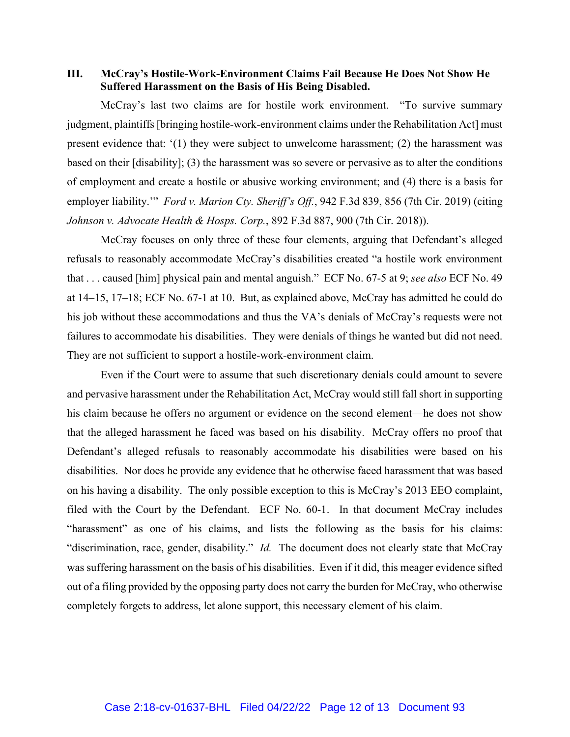**III. McCray's Hostile-Work-Environment Claims Fail Because He Does Not Show He Suffered Harassment on the Basis of His Being Disabled.**

McCray's last two claims are for hostile work environment. "To survive summary judgment, plaintiffs [bringing hostile-work-environment claims under the Rehabilitation Act] must present evidence that: '(1) they were subject to unwelcome harassment; (2) the harassment was based on their [disability]; (3) the harassment was so severe or pervasive as to alter the conditions of employment and create a hostile or abusive working environment; and (4) there is a basis for employer liability.'" *Ford v. Marion Cty. Sheriff's Off.*, 942 F.3d 839, 856 (7th Cir. 2019) (citing *Johnson v. Advocate Health & Hosps. Corp.*, 892 F.3d 887, 900 (7th Cir. 2018)).

McCray focuses on only three of these four elements, arguing that Defendant's alleged refusals to reasonably accommodate McCray's disabilities created "a hostile work environment that . . . caused [him] physical pain and mental anguish." ECF No. 67-5 at 9; *see also* ECF No. 49 at 14–15, 17–18; ECF No. 67-1 at 10. But, as explained above, McCray has admitted he could do his job without these accommodations and thus the VA's denials of McCray's requests were not failures to accommodate his disabilities. They were denials of things he wanted but did not need. They are not sufficient to support a hostile-work-environment claim.

Even if the Court were to assume that such discretionary denials could amount to severe and pervasive harassment under the Rehabilitation Act, McCray would still fall short in supporting his claim because he offers no argument or evidence on the second element—he does not show that the alleged harassment he faced was based on his disability. McCray offers no proof that Defendant's alleged refusals to reasonably accommodate his disabilities were based on his disabilities. Nor does he provide any evidence that he otherwise faced harassment that was based on his having a disability. The only possible exception to this is McCray's 2013 EEO complaint, filed with the Court by the Defendant. ECF No. 60-1. In that document McCray includes "harassment" as one of his claims, and lists the following as the basis for his claims: "discrimination, race, gender, disability." *Id.* The document does not clearly state that McCray was suffering harassment on the basis of his disabilities. Even if it did, this meager evidence sifted out of a filing provided by the opposing party does not carry the burden for McCray, who otherwise completely forgets to address, let alone support, this necessary element of his claim.